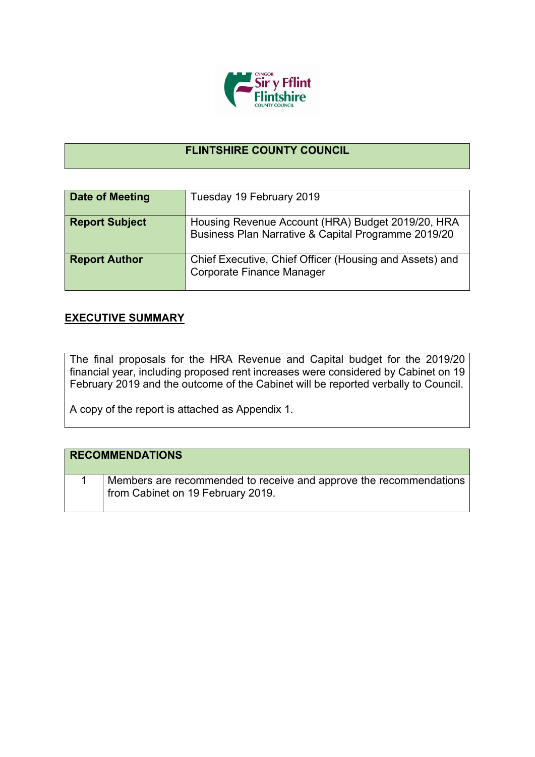

## **FLINTSHIRE COUNTY COUNCIL**

| <b>Date of Meeting</b> | Tuesday 19 February 2019                                                                                 |
|------------------------|----------------------------------------------------------------------------------------------------------|
| <b>Report Subject</b>  | Housing Revenue Account (HRA) Budget 2019/20, HRA<br>Business Plan Narrative & Capital Programme 2019/20 |
| <b>Report Author</b>   | Chief Executive, Chief Officer (Housing and Assets) and<br>Corporate Finance Manager                     |

## **EXECUTIVE SUMMARY**

The final proposals for the HRA Revenue and Capital budget for the 2019/20 financial year, including proposed rent increases were considered by Cabinet on 19 February 2019 and the outcome of the Cabinet will be reported verbally to Council.

A copy of the report is attached as Appendix 1.

| <b>RECOMMENDATIONS</b>                                                                                  |
|---------------------------------------------------------------------------------------------------------|
| Members are recommended to receive and approve the recommendations<br>from Cabinet on 19 February 2019. |